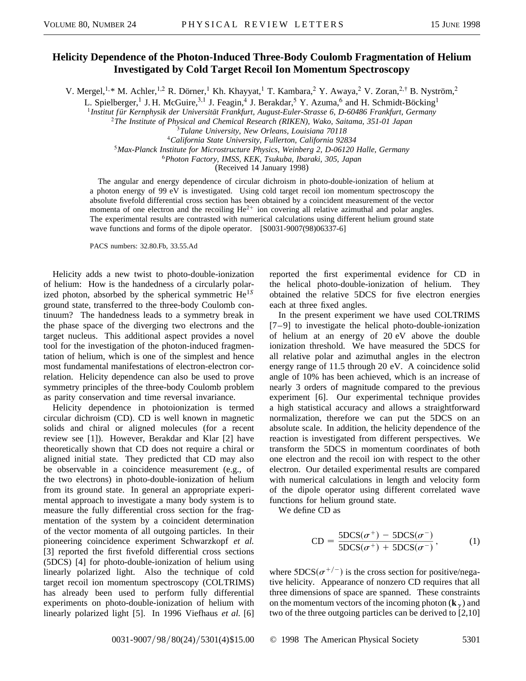## **Helicity Dependence of the Photon-Induced Three-Body Coulomb Fragmentation of Helium Investigated by Cold Target Recoil Ion Momentum Spectroscopy**

V. Mergel,<sup>1,\*</sup> M. Achler,<sup>1,2</sup> R. Dörner,<sup>1</sup> Kh. Khayyat,<sup>1</sup> T. Kambara,<sup>2</sup> Y. Awaya,<sup>2</sup> V. Zoran,<sup>2,†</sup> B. Nyström,<sup>2</sup>

L. Spielberger,<sup>1</sup> J. H. McGuire,<sup>3,1</sup> J. Feagin,<sup>4</sup> J. Berakdar,<sup>5</sup> Y. Azuma,<sup>6</sup> and H. Schmidt-Böcking<sup>1</sup>

<sup>1</sup> Institut für Kernphysik der Universität Frankfurt, August-Euler-Strasse 6, D-60486 Frankfurt, Germany

<sup>2</sup>*The Institute of Physical and Chemical Research (RIKEN), Wako, Saitama, 351-01 Japan*

<sup>3</sup>*Tulane University, New Orleans, Louisiana 70118*

<sup>4</sup>*California State University, Fullerton, California 92834*

<sup>5</sup>*Max-Planck Institute for Microstructure Physics, Weinberg 2, D-06120 Halle, Germany*

<sup>6</sup>*Photon Factory, IMSS, KEK, Tsukuba, Ibaraki, 305, Japan*

(Received 14 January 1998)

The angular and energy dependence of circular dichroism in photo-double-ionization of helium at a photon energy of 99 eV is investigated. Using cold target recoil ion momentum spectroscopy the absolute fivefold differential cross section has been obtained by a coincident measurement of the vector momenta of one electron and the recoiling  $He^{2+}$  ion covering all relative azimuthal and polar angles. The experimental results are contrasted with numerical calculations using different helium ground state wave functions and forms of the dipole operator. [S0031-9007(98)06337-6]

PACS numbers: 32.80.Fb, 33.55.Ad

Helicity adds a new twist to photo-double-ionization of helium: How is the handedness of a circularly polarized photon, absorbed by the spherical symmetric He1*<sup>S</sup>* ground state, transferred to the three-body Coulomb continuum? The handedness leads to a symmetry break in the phase space of the diverging two electrons and the target nucleus. This additional aspect provides a novel tool for the investigation of the photon-induced fragmentation of helium, which is one of the simplest and hence most fundamental manifestations of electron-electron correlation. Helicity dependence can also be used to prove symmetry principles of the three-body Coulomb problem as parity conservation and time reversal invariance.

Helicity dependence in photoionization is termed circular dichroism (CD). CD is well known in magnetic solids and chiral or aligned molecules (for a recent review see [1]). However, Berakdar and Klar [2] have theoretically shown that CD does not require a chiral or aligned initial state. They predicted that CD may also be observable in a coincidence measurement (e.g., of the two electrons) in photo-double-ionization of helium from its ground state. In general an appropriate experimental approach to investigate a many body system is to measure the fully differential cross section for the fragmentation of the system by a coincident determination of the vector momenta of all outgoing particles. In their pioneering coincidence experiment Schwarzkopf *et al.* [3] reported the first fivefold differential cross sections (5DCS) [4] for photo-double-ionization of helium using linearly polarized light. Also the technique of cold target recoil ion momentum spectroscopy (COLTRIMS) has already been used to perform fully differential experiments on photo-double-ionization of helium with linearly polarized light [5]. In 1996 Viefhaus *et al.* [6]

reported the first experimental evidence for CD in the helical photo-double-ionization of helium. They obtained the relative 5DCS for five electron energies each at three fixed angles.

In the present experiment we have used COLTRIMS [7–9] to investigate the helical photo-double-ionization of helium at an energy of 20 eV above the double ionization threshold. We have measured the 5DCS for all relative polar and azimuthal angles in the electron energy range of 11.5 through 20 eV. A coincidence solid angle of 10% has been achieved, which is an increase of nearly 3 orders of magnitude compared to the previous experiment [6]. Our experimental technique provides a high statistical accuracy and allows a straightforward normalization, therefore we can put the 5DCS on an absolute scale. In addition, the helicity dependence of the reaction is investigated from different perspectives. We transform the 5DCS in momentum coordinates of both one electron and the recoil ion with respect to the other electron. Our detailed experimental results are compared with numerical calculations in length and velocity form of the dipole operator using different correlated wave functions for helium ground state.

We define CD as

$$
CD = \frac{5DCS(\sigma^+) - 5DCS(\sigma^-)}{5DCS(\sigma^+) + 5DCS(\sigma^-)},
$$
 (1)

where  $5DCS(\sigma^{+/-})$  is the cross section for positive/negative helicity. Appearance of nonzero CD requires that all three dimensions of space are spanned. These constraints on the momentum vectors of the incoming photon  $(\mathbf{k}_{\gamma})$  and two of the three outgoing particles can be derived to [2,10]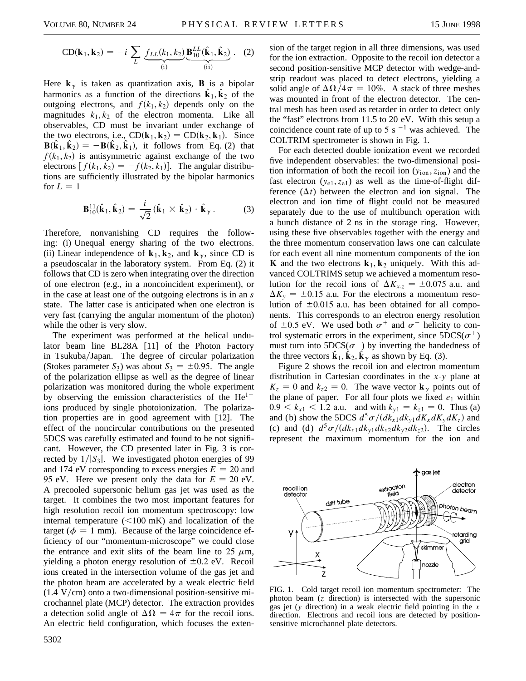$$
CD(\mathbf{k}_1, \mathbf{k}_2) = -i \sum_{L} \underbrace{f_{LL}(k_1, k_2)}_{(i)} \underbrace{\mathbf{B}_{10}^{LL}(\hat{\mathbf{k}}_1, \hat{\mathbf{k}}_2)}_{(ii)}.
$$
 (2)

Here  $\mathbf{k}_{\gamma}$  is taken as quantization axis, **B** is a bipolar harmonics as a function of the directions  $\hat{\mathbf{k}}_1, \hat{\mathbf{k}}_2$  of the outgoing electrons, and  $f(k_1, k_2)$  depends only on the magnitudes  $k_1, k_2$  of the electron momenta. Like all observables, CD must be invariant under exchange of the two electrons, i.e.,  $CD(\mathbf{k}_1, \mathbf{k}_2) = CD(\mathbf{k}_2, \mathbf{k}_1)$ . Since  $\mathbf{B}(\hat{\mathbf{k}}_1, \hat{\mathbf{k}}_2) = -\mathbf{B}(\hat{\mathbf{k}}_2, \hat{\mathbf{k}}_1)$ , it follows from Eq. (2) that  $f(k_1, k_2)$  is antisymmetric against exchange of the two electrons  $[f(k_1, k_2) = -f(k_2, k_1)]$ . The angular distributions are sufficiently illustrated by the bipolar harmonics for  $L = 1$ 

$$
\mathbf{B}_{10}^{11}(\hat{\mathbf{k}}_1, \hat{\mathbf{k}}_2) = \frac{i}{\sqrt{2}} (\hat{\mathbf{k}}_1 \times \hat{\mathbf{k}}_2) \cdot \hat{\mathbf{k}}_{\gamma}.
$$
 (3)

Therefore, nonvanishing CD requires the following: (i) Unequal energy sharing of the two electrons. (ii) Linear independence of  $\mathbf{k}_1, \mathbf{k}_2$ , and  $\mathbf{k}_\gamma$ , since CD is a pseudoscalar in the laboratory system. From Eq. (2) it follows that CD is zero when integrating over the direction of one electron (e.g., in a noncoincident experiment), or in the case at least one of the outgoing electrons is in an *s* state. The latter case is anticipated when one electron is very fast (carrying the angular momentum of the photon) while the other is very slow.

The experiment was performed at the helical undulator beam line BL28A [11] of the Photon Factory in Tsukuba/Japan. The degree of circular polarization (Stokes parameter  $S_3$ ) was about  $S_3 = \pm 0.95$ . The angle of the polarization ellipse as well as the degree of linear polarization was monitored during the whole experiment by observing the emission characteristics of the  $He^{1+}$ ions produced by single photoionization. The polarization properties are in good agreement with [12]. The effect of the noncircular contributions on the presented 5DCS was carefully estimated and found to be not significant. However, the CD presented later in Fig. 3 is corrected by  $1/|S_3|$ . We investigated photon energies of 99 and 174 eV corresponding to excess energies  $E = 20$  and 95 eV. Here we present only the data for  $E = 20$  eV. A precooled supersonic helium gas jet was used as the target. It combines the two most important features for high resolution recoil ion momentum spectroscopy: low internal temperature  $(<100$  mK) and localization of the target ( $\phi = 1$  mm). Because of the large coincidence efficiency of our "momentum-microscope" we could close the entrance and exit slits of the beam line to 25  $\mu$ m, yielding a photon energy resolution of  $\pm 0.2$  eV. Recoil ions created in the intersection volume of the gas jet and the photon beam are accelerated by a weak electric field  $(1.4 \text{ V/cm})$  onto a two-dimensional position-sensitive microchannel plate (MCP) detector. The extraction provides a detection solid angle of  $\Delta\Omega = 4\pi$  for the recoil ions. An electric field configuration, which focuses the extension of the target region in all three dimensions, was used for the ion extraction. Opposite to the recoil ion detector a second position-sensitive MCP detector with wedge-andstrip readout was placed to detect electrons, yielding a solid angle of  $\Delta\Omega/4\pi = 10\%$ . A stack of three meshes was mounted in front of the electron detector. The central mesh has been used as retarder in order to detect only the "fast" electrons from 11.5 to 20 eV. With this setup a coincidence count rate of up to 5 s  $^{-1}$  was achieved. The COLTRIM spectrometer is shown in Fig. 1.

For each detected double ionization event we recorded five independent observables: the two-dimensional position information of both the recoil ion  $(y_{ion}, z_{ion})$  and the fast electron  $(y_{e1}, z_{e1})$  as well as the time-of-flight difference  $(\Delta t)$  between the electron and ion signal. The electron and ion time of flight could not be measured separately due to the use of multibunch operation with a bunch distance of 2 ns in the storage ring. However, using these five observables together with the energy and the three momentum conservation laws one can calculate for each event all nine momentum components of the ion **K** and the two electrons  $\mathbf{k}_1, \mathbf{k}_2$  uniquely. With this advanced COLTRIMS setup we achieved a momentum resolution for the recoil ions of  $\Delta K_{x,z} = \pm 0.075$  a.u. and  $\Delta K_y = \pm 0.15$  a.u. For the electrons a momentum resolution of  $\pm 0.015$  a.u. has been obtained for all components. This corresponds to an electron energy resolution of  $\pm 0.5$  eV. We used both  $\sigma^+$  and  $\sigma^-$  helicity to control systematic errors in the experiment, since  $5DCS(\sigma^+)$ must turn into  $5DCS(\sigma^-)$  by inverting the handedness of the three vectors  $\mathbf{k}_1, \mathbf{k}_2, \mathbf{k}_\gamma$  as shown by Eq. (3).

Figure 2 shows the recoil ion and electron momentum distribution in Cartesian coordinates in the *x*-*y* plane at  $K_z = 0$  and  $k_{z2} = 0$ . The wave vector  $\mathbf{k}_\gamma$  points out of the plane of paper. For all four plots we fixed  $e_1$  within  $0.9 < k_{x1} < 1.2$  a.u. and with  $k_{y1} = k_{z1} = 0$ . Thus (a) and (b) show the 5DCS  $d^5\sigma/(dk_{x1}dk_{y1}dk_x dK_x dK_z)$  and (c) and (d)  $d^5\sigma/(dk_{x1}dk_{y1}dk_{x2}dk_{y2}dk_{z2})$ . The circles represent the maximum momentum for the ion and



FIG. 1. Cold target recoil ion momentum spectrometer: The photon beam (*z* direction) is intersected with the supersonic gas jet (*y* direction) in a weak electric field pointing in the *x* direction. Electrons and recoil ions are detected by positionsensitive microchannel plate detectors.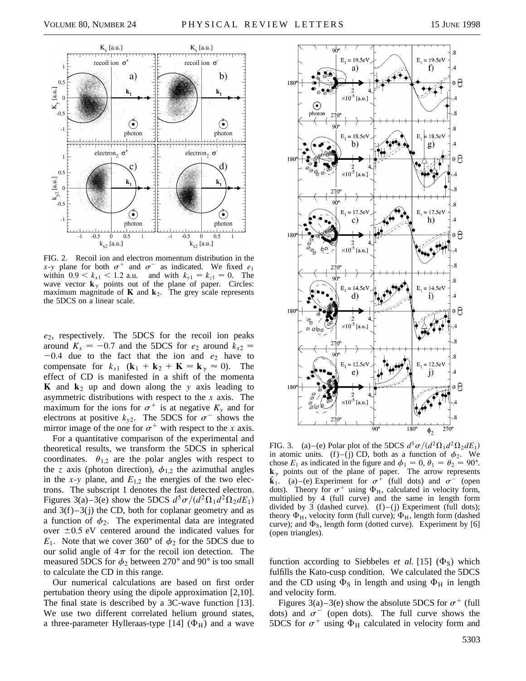

FIG. 2. Recoil ion and electron momentum distribution in the *x*-*y* plane for both  $\sigma^+$  and  $\sigma^-$  as indicated. We fixed  $e_1$ within  $0.9 < k_{x1} < 1.2$  a.u. and with  $k_{y1} = k_{z1} = 0$ . The wave vector  $\mathbf{k}_{\gamma}$  points out of the plane of paper. Circles: maximum magnitude of  $\bf{K}$  and  $\bf{k}_2$ . The grey scale represents the 5DCS on a linear scale.

*e*2, respectively. The 5DCS for the recoil ion peaks around  $K_x = -0.7$  and the 5DCS for  $e_2$  around  $k_{x2} =$  $-0.4$  due to the fact that the ion and  $e_2$  have to compensate for  $k_{x1}$  ( $\mathbf{k}_1 + \mathbf{k}_2 + \mathbf{K} = \mathbf{k}_\gamma \approx 0$ ). The effect of CD is manifested in a shift of the momenta **K** and  $k_2$  up and down along the *y* axis leading to asymmetric distributions with respect to the *x* axis. The maximum for the ions for  $\sigma^+$  is at negative  $K_y$  and for electrons at positive  $k_{y2}$ . The 5DCS for  $\sigma^-$  shows the mirror image of the one for  $\sigma^+$  with respect to the *x* axis.

For a quantitative comparison of the experimental and theoretical results, we transform the 5DCS in spherical coordinates.  $\theta_{1,2}$  are the polar angles with respect to the *z* axis (photon direction),  $\phi_{1,2}$  the azimuthal angles in the *x*-*y* plane, and  $E_{1,2}$  the energies of the two electrons. The subscript 1 denotes the fast detected electron. Figures 3(a)–3(e) show the 5DCS  $d^5\sigma/(d^2\Omega_1d^2\Omega_2dE_1)$ and  $3(f) - 3(j)$  the CD, both for coplanar geometry and as a function of  $\phi_2$ . The experimental data are integrated over  $\pm 0.5$  eV centered around the indicated values for  $E_1$ . Note that we cover 360° of  $\phi_2$  for the 5DCS due to our solid angle of  $4\pi$  for the recoil ion detection. The measured 5DCS for  $\phi_2$  between 270 $^{\circ}$  and 90 $^{\circ}$  is too small to calculate the CD in this range.

Our numerical calculations are based on first order pertubation theory using the dipole approximation [2,10]. The final state is described by a 3C-wave function [13]. We use two different correlated helium ground states, a three-parameter Hylleraas-type [14]  $(\Phi_H)$  and a wave



FIG. 3. (a)–(e) Polar plot of the 5DCS  $d^5\sigma/(d^2\Omega_1d^2\Omega_2dE_1)$ in atomic units. (f)–(j) CD, both as a function of  $\phi_2$ . We chose  $E_1$  as indicated in the figure and  $\phi_1 = 0$ ,  $\theta_1 = \theta_2 = 90^\circ$ .  $\mathbf{k}_{\gamma}$  points out of the plane of paper. The arrow represents  $\hat{\mathbf{k}}_1$ . (a) – (e) Experiment for  $\sigma^+$  (full dots) and  $\sigma^-$  (open dots). Theory for  $\sigma^+$  using  $\Phi_H$ , calculated in velocity form, multiplied by 4 (full curve) and the same in length form divided by 3 (dashed curve).  $(f)$ –(j) Experiment (full dots); theory  $\Phi_H$ , velocity form (full curve);  $\Phi_H$ , length form (dashed curve); and  $\Phi$ <sub>S</sub>, length form (dotted curve). Experiment by [6] (open triangles).

function according to Siebbeles *et al.* [15]  $(\Phi_S)$  which fulfills the Kato-cusp condition. We calculated the 5DCS and the CD using  $\Phi$ <sub>S</sub> in length and using  $\Phi$ <sub>H</sub> in length and velocity form.

Figures 3(a)–3(e) show the absolute 5DCS for  $\sigma^+$  (full dots) and  $\sigma$ <sup>-</sup> (open dots). The full curve shows the 5DCS for  $\sigma^+$  using  $\Phi_H$  calculated in velocity form and